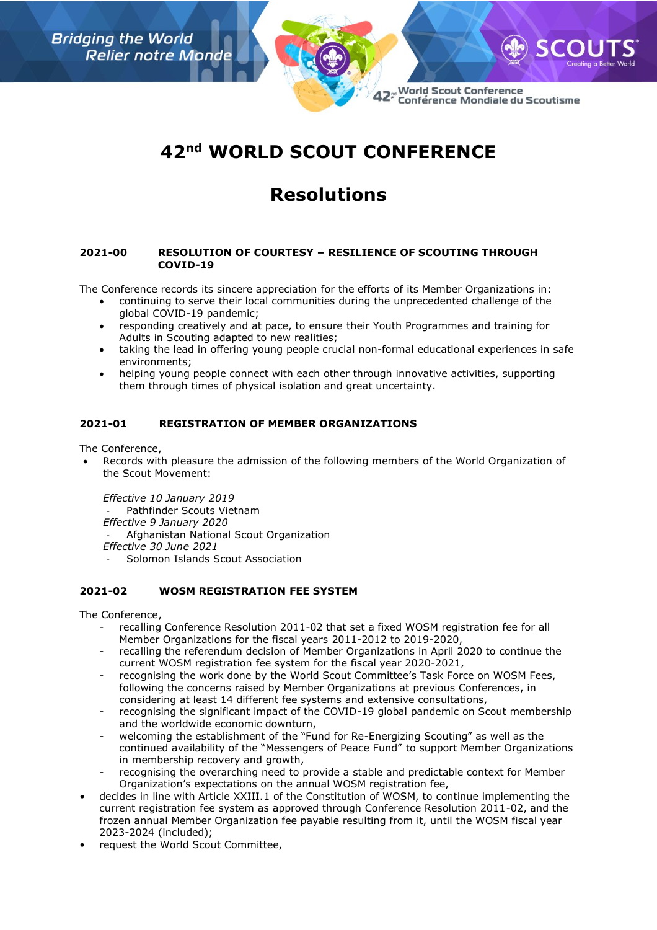

42<sup>e</sup> World Scout Conference Conférence Mondiale du Scoutisme

# **42nd WORLD SCOUT CONFERENCE**

## **Resolutions**

#### **2021-00 RESOLUTION OF COURTESY – RESILIENCE OF SCOUTING THROUGH COVID-19**

The Conference records its sincere appreciation for the efforts of its Member Organizations in:

- continuing to serve their local communities during the unprecedented challenge of the global COVID-19 pandemic;
- responding creatively and at pace, to ensure their Youth Programmes and training for Adults in Scouting adapted to new realities;
- taking the lead in offering young people crucial non-formal educational experiences in safe environments;
- helping young people connect with each other through innovative activities, supporting them through times of physical isolation and great uncertainty.

## **2021-01 REGISTRATION OF MEMBER ORGANIZATIONS**

The Conference,

• Records with pleasure the admission of the following members of the World Organization of the Scout Movement:

*Effective 10 January 2019* Pathfinder Scouts Vietnam *Effective 9 January 2020* - Afghanistan National Scout Organization *Effective 30 June 2021* - Solomon Islands Scout Association

## **2021-02 WOSM REGISTRATION FEE SYSTEM**

- recalling Conference Resolution 2011-02 that set a fixed WOSM registration fee for all Member Organizations for the fiscal years 2011-2012 to 2019-2020,
- recalling the referendum decision of Member Organizations in April 2020 to continue the current WOSM registration fee system for the fiscal year 2020-2021,
- recognising the work done by the World Scout Committee's Task Force on WOSM Fees, following the concerns raised by Member Organizations at previous Conferences, in considering at least 14 different fee systems and extensive consultations,
- recognising the significant impact of the COVID-19 global pandemic on Scout membership and the worldwide economic downturn,
- welcoming the establishment of the "Fund for Re-Energizing Scouting" as well as the continued availability of the "Messengers of Peace Fund" to support Member Organizations in membership recovery and growth,
- recognising the overarching need to provide a stable and predictable context for Member Organization's expectations on the annual WOSM registration fee,
- decides in line with Article XXIII.1 of the Constitution of WOSM, to continue implementing the current registration fee system as approved through Conference Resolution 2011-02, and the frozen annual Member Organization fee payable resulting from it, until the WOSM fiscal year 2023-2024 (included);
- request the World Scout Committee,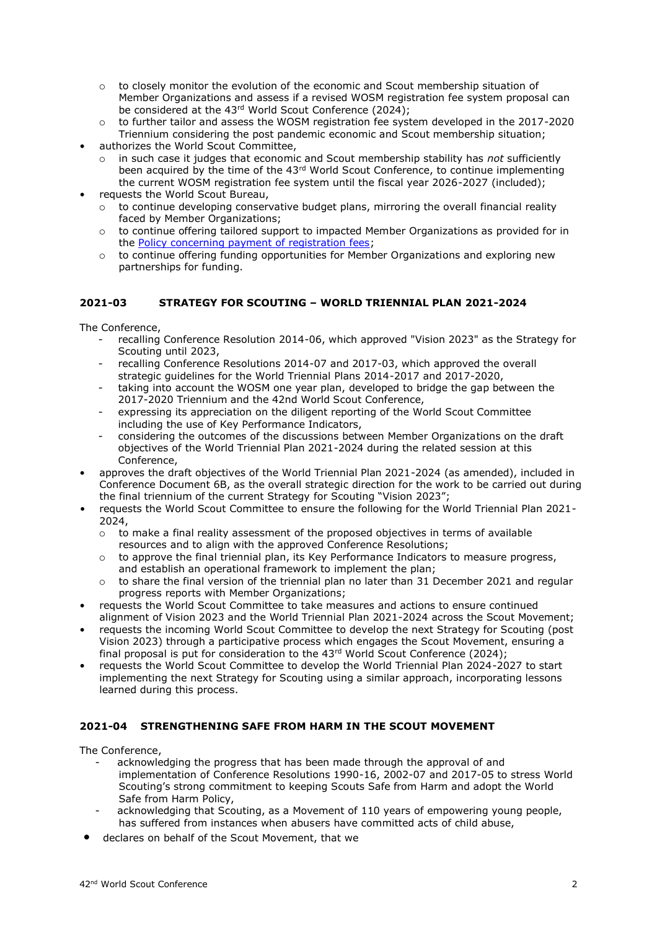- $\circ$  to closely monitor the evolution of the economic and Scout membership situation of Member Organizations and assess if a revised WOSM registration fee system proposal can be considered at the 43<sup>rd</sup> World Scout Conference (2024);
- o to further tailor and assess the WOSM registration fee system developed in the 2017-2020 Triennium considering the post pandemic economic and Scout membership situation;
- authorizes the World Scout Committee,
	- in such case it judges that economic and Scout membership stability has *not* sufficiently been acquired by the time of the  $43<sup>rd</sup>$  World Scout Conference, to continue implementing the current WOSM registration fee system until the fiscal year 2026-2027 (included);
- requests the World Scout Bureau,
	- $\circ$  to continue developing conservative budget plans, mirroring the overall financial reality faced by Member Organizations;
	- $\circ$  to continue offering tailored support to impacted Member Organizations as provided for in the **Policy concerning payment of registration fees**;
	- $\circ$  to continue offering funding opportunities for Member Organizations and exploring new partnerships for funding.

## **2021-03 STRATEGY FOR SCOUTING – WORLD TRIENNIAL PLAN 2021-2024**

The Conference,

- recalling Conference Resolution 2014-06, which approved "Vision 2023" as the Strategy for Scouting until 2023,
- recalling Conference Resolutions 2014-07 and 2017-03, which approved the overall strategic guidelines for the World Triennial Plans 2014-2017 and 2017-2020,
- taking into account the WOSM one year plan, developed to bridge the gap between the 2017-2020 Triennium and the 42nd World Scout Conference,
- expressing its appreciation on the diligent reporting of the World Scout Committee including the use of Key Performance Indicators,
- considering the outcomes of the discussions between Member Organizations on the draft objectives of the World Triennial Plan 2021-2024 during the related session at this Conference,
- approves the draft objectives of the World Triennial Plan 2021-2024 (as amended), included in Conference Document 6B, as the overall strategic direction for the work to be carried out during the final triennium of the current Strategy for Scouting "Vision 2023";
- requests the World Scout Committee to ensure the following for the World Triennial Plan 2021- 2024,
	- $\circ$  to make a final reality assessment of the proposed objectives in terms of available resources and to align with the approved Conference Resolutions;
	- to approve the final triennial plan, its Key Performance Indicators to measure progress, and establish an operational framework to implement the plan;
	- $\circ$  to share the final version of the triennial plan no later than 31 December 2021 and regular progress reports with Member Organizations;
- requests the World Scout Committee to take measures and actions to ensure continued alignment of Vision 2023 and the World Triennial Plan 2021-2024 across the Scout Movement;
- requests the incoming World Scout Committee to develop the next Strategy for Scouting (post Vision 2023) through a participative process which engages the Scout Movement, ensuring a final proposal is put for consideration to the  $43<sup>rd</sup>$  World Scout Conference (2024);
- requests the World Scout Committee to develop the World Triennial Plan 2024-2027 to start implementing the next Strategy for Scouting using a similar approach, incorporating lessons learned during this process.

## **2021-04 STRENGTHENING SAFE FROM HARM IN THE SCOUT MOVEMENT**

- acknowledging the progress that has been made through the approval of and implementation of Conference Resolutions 1990-16, 2002-07 and 2017-05 to stress World Scouting's strong commitment to keeping Scouts Safe from Harm and adopt the World Safe from Harm Policy,
- acknowledging that Scouting, as a Movement of 110 years of empowering young people, has suffered from instances when abusers have committed acts of child abuse,
- declares on behalf of the Scout Movement, that we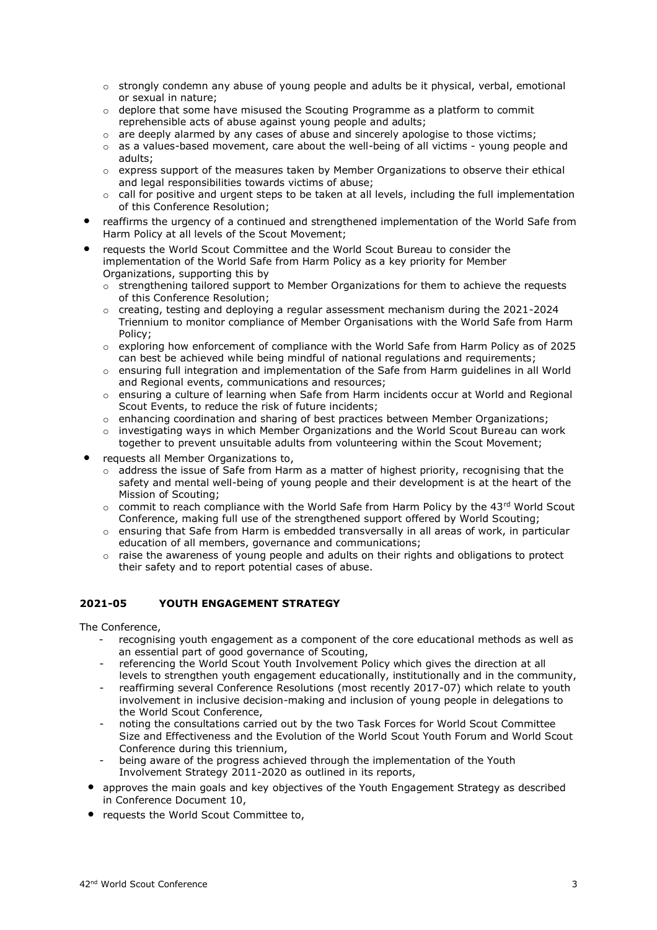- $\circ$  strongly condemn any abuse of young people and adults be it physical, verbal, emotional or sexual in nature;
- $\circ$  deplore that some have misused the Scouting Programme as a platform to commit reprehensible acts of abuse against young people and adults;
- $\circ$  are deeply alarmed by any cases of abuse and sincerely apologise to those victims;
- $\circ$  as a values-based movement, care about the well-being of all victims young people and adults;
- $\circ$  express support of the measures taken by Member Organizations to observe their ethical and legal responsibilities towards victims of abuse;
- $\circ$  call for positive and urgent steps to be taken at all levels, including the full implementation of this Conference Resolution;
- reaffirms the urgency of a continued and strengthened implementation of the World Safe from Harm Policy at all levels of the Scout Movement;
- requests the World Scout Committee and the World Scout Bureau to consider the implementation of the World Safe from Harm Policy as a key priority for Member Organizations, supporting this by
	- $\circ$  strengthening tailored support to Member Organizations for them to achieve the requests of this Conference Resolution;
	- $\circ$  creating, testing and deploving a regular assessment mechanism during the 2021-2024 Triennium to monitor compliance of Member Organisations with the World Safe from Harm Policy;
	- $\circ$  exploring how enforcement of compliance with the World Safe from Harm Policy as of 2025 can best be achieved while being mindful of national regulations and requirements;
	- o ensuring full integration and implementation of the Safe from Harm guidelines in all World and Regional events, communications and resources;
	- $\circ$  ensuring a culture of learning when Safe from Harm incidents occur at World and Regional Scout Events, to reduce the risk of future incidents;
	- $\circ$  enhancing coordination and sharing of best practices between Member Organizations;
	- $\circ$  investigating ways in which Member Organizations and the World Scout Bureau can work together to prevent unsuitable adults from volunteering within the Scout Movement;
- requests all Member Organizations to,
	- $\circ$  address the issue of Safe from Harm as a matter of highest priority, recognising that the safety and mental well-being of young people and their development is at the heart of the Mission of Scouting;
	- $\circ$  commit to reach compliance with the World Safe from Harm Policy by the 43rd World Scout Conference, making full use of the strengthened support offered by World Scouting;
	- $\circ$  ensuring that Safe from Harm is embedded transversally in all areas of work, in particular education of all members, governance and communications;
	- $\circ$  raise the awareness of young people and adults on their rights and obligations to protect their safety and to report potential cases of abuse.

## **2021-05 YOUTH ENGAGEMENT STRATEGY**

- recognising youth engagement as a component of the core educational methods as well as an essential part of good governance of Scouting,
- referencing the World Scout Youth Involvement Policy which gives the direction at all levels to strengthen youth engagement educationally, institutionally and in the community,
- reaffirming several Conference Resolutions (most recently 2017-07) which relate to youth involvement in inclusive decision-making and inclusion of young people in delegations to the World Scout Conference,
- noting the consultations carried out by the two Task Forces for World Scout Committee Size and Effectiveness and the Evolution of the World Scout Youth Forum and World Scout Conference during this triennium,
- being aware of the progress achieved through the implementation of the Youth Involvement Strategy 2011-2020 as outlined in its reports,
- approves the main goals and key objectives of the Youth Engagement Strategy as described in Conference Document 10,
- requests the World Scout Committee to,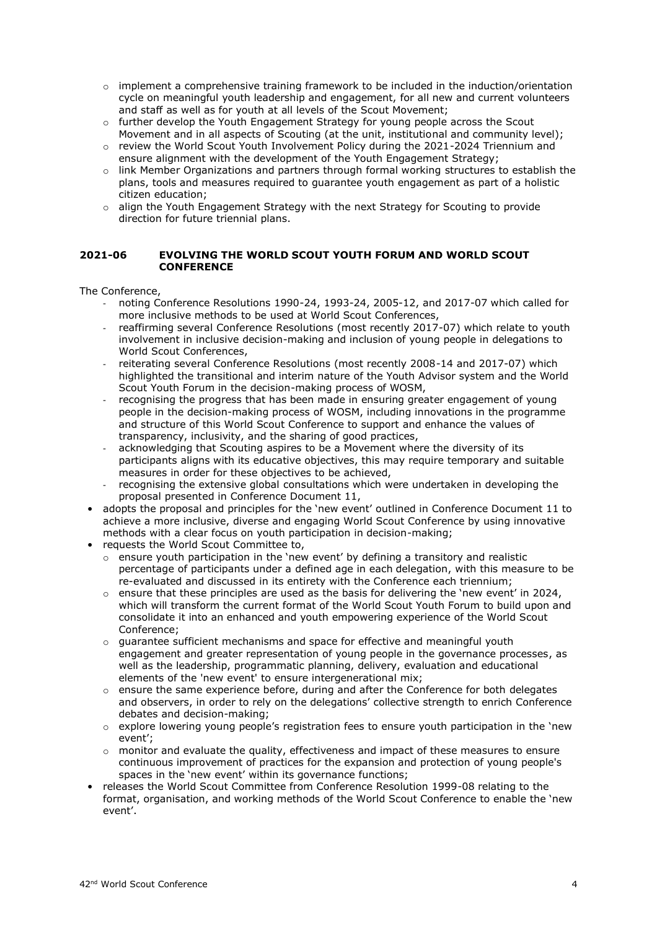- $\circ$  implement a comprehensive training framework to be included in the induction/orientation cycle on meaningful youth leadership and engagement, for all new and current volunteers and staff as well as for youth at all levels of the Scout Movement;
- $\circ$  further develop the Youth Engagement Strategy for young people across the Scout Movement and in all aspects of Scouting (at the unit, institutional and community level);
- $\circ$  review the World Scout Youth Involvement Policy during the 2021-2024 Triennium and ensure alignment with the development of the Youth Engagement Strategy;
- o link Member Organizations and partners through formal working structures to establish the plans, tools and measures required to guarantee youth engagement as part of a holistic citizen education;
- $\circ$  align the Youth Engagement Strategy with the next Strategy for Scouting to provide direction for future triennial plans.

#### **2021-06 EVOLVING THE WORLD SCOUT YOUTH FORUM AND WORLD SCOUT CONFERENCE**

- noting Conference Resolutions 1990-24, 1993-24, 2005-12, and 2017-07 which called for more inclusive methods to be used at World Scout Conferences,
- reaffirming several Conference Resolutions (most recently 2017-07) which relate to youth involvement in inclusive decision-making and inclusion of young people in delegations to World Scout Conferences,
- reiterating several Conference Resolutions (most recently 2008-14 and 2017-07) which highlighted the transitional and interim nature of the Youth Advisor system and the World Scout Youth Forum in the decision-making process of WOSM,
- recognising the progress that has been made in ensuring greater engagement of young people in the decision-making process of WOSM, including innovations in the programme and structure of this World Scout Conference to support and enhance the values of transparency, inclusivity, and the sharing of good practices,
- acknowledging that Scouting aspires to be a Movement where the diversity of its participants aligns with its educative objectives, this may require temporary and suitable measures in order for these objectives to be achieved,
- recognising the extensive global consultations which were undertaken in developing the proposal presented in Conference Document 11,
- adopts the proposal and principles for the 'new event' outlined in Conference Document 11 to achieve a more inclusive, diverse and engaging World Scout Conference by using innovative methods with a clear focus on youth participation in decision-making;
- requests the World Scout Committee to,
	- $\circ$  ensure youth participation in the 'new event' by defining a transitory and realistic percentage of participants under a defined age in each delegation, with this measure to be re-evaluated and discussed in its entirety with the Conference each triennium;
	- $\circ$  ensure that these principles are used as the basis for delivering the 'new event' in 2024, which will transform the current format of the World Scout Youth Forum to build upon and consolidate it into an enhanced and youth empowering experience of the World Scout Conference;
	- $\circ$  quarantee sufficient mechanisms and space for effective and meaningful youth engagement and greater representation of young people in the governance processes, as well as the leadership, programmatic planning, delivery, evaluation and educational elements of the 'new event' to ensure intergenerational mix;
	- $\circ$  ensure the same experience before, during and after the Conference for both delegates and observers, in order to rely on the delegations' collective strength to enrich Conference debates and decision-making;
	- $\circ$  explore lowering young people's registration fees to ensure youth participation in the 'new event';
	- $\circ$  monitor and evaluate the quality, effectiveness and impact of these measures to ensure continuous improvement of practices for the expansion and protection of young people's spaces in the 'new event' within its governance functions;
- releases the World Scout Committee from Conference Resolution 1999-08 relating to the format, organisation, and working methods of the World Scout Conference to enable the 'new event'.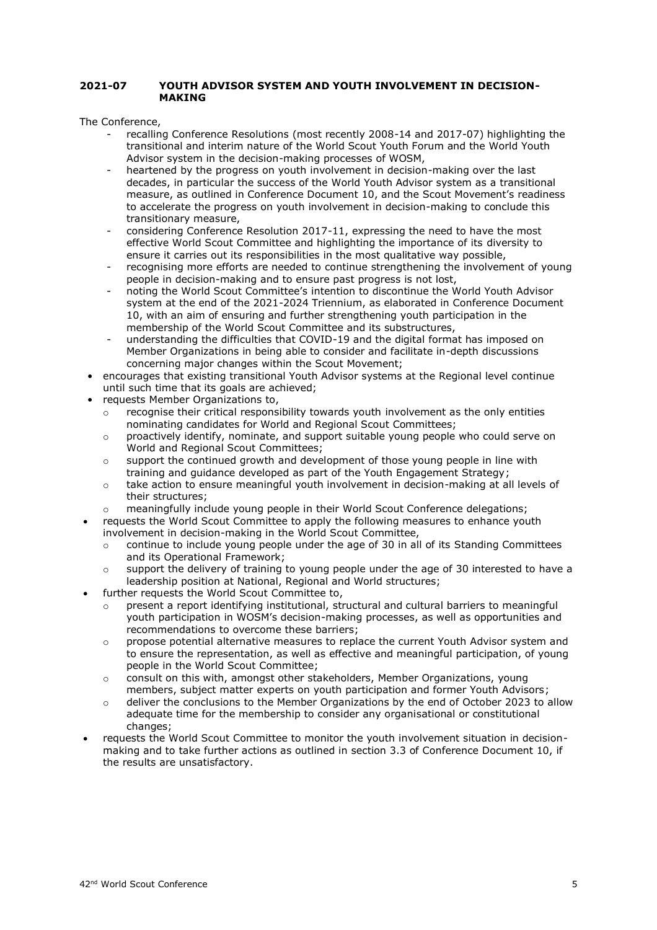#### **2021-07 YOUTH ADVISOR SYSTEM AND YOUTH INVOLVEMENT IN DECISION-MAKING**

- recalling Conference Resolutions (most recently 2008-14 and 2017-07) highlighting the transitional and interim nature of the World Scout Youth Forum and the World Youth Advisor system in the decision-making processes of WOSM,
- heartened by the progress on youth involvement in decision-making over the last decades, in particular the success of the World Youth Advisor system as a transitional measure, as outlined in Conference Document 10, and the Scout Movement's readiness to accelerate the progress on youth involvement in decision-making to conclude this transitionary measure,
- considering Conference Resolution 2017-11, expressing the need to have the most effective World Scout Committee and highlighting the importance of its diversity to ensure it carries out its responsibilities in the most qualitative way possible,
- recognising more efforts are needed to continue strengthening the involvement of young people in decision-making and to ensure past progress is not lost,
- noting the World Scout Committee's intention to discontinue the World Youth Advisor system at the end of the 2021-2024 Triennium, as elaborated in Conference Document 10, with an aim of ensuring and further strengthening youth participation in the membership of the World Scout Committee and its substructures,
- understanding the difficulties that COVID-19 and the digital format has imposed on Member Organizations in being able to consider and facilitate in-depth discussions concerning major changes within the Scout Movement;
- encourages that existing transitional Youth Advisor systems at the Regional level continue until such time that its goals are achieved;
- requests Member Organizations to,
	- $\circ$  recognise their critical responsibility towards youth involvement as the only entities nominating candidates for World and Regional Scout Committees;
	- o proactively identify, nominate, and support suitable young people who could serve on World and Regional Scout Committees;
	- $\circ$  support the continued growth and development of those young people in line with training and guidance developed as part of the Youth Engagement Strategy;
	- $\circ$  take action to ensure meaningful youth involvement in decision-making at all levels of their structures;
	- o meaningfully include young people in their World Scout Conference delegations;
- requests the World Scout Committee to apply the following measures to enhance youth involvement in decision-making in the World Scout Committee,
	- $\circ$  continue to include young people under the age of 30 in all of its Standing Committees and its Operational Framework;
	- $\circ$  support the delivery of training to young people under the age of 30 interested to have a leadership position at National, Regional and World structures;
- further requests the World Scout Committee to,
	- o present a report identifying institutional, structural and cultural barriers to meaningful youth participation in WOSM's decision-making processes, as well as opportunities and recommendations to overcome these barriers;
	- o propose potential alternative measures to replace the current Youth Advisor system and to ensure the representation, as well as effective and meaningful participation, of young people in the World Scout Committee;
	- o consult on this with, amongst other stakeholders, Member Organizations, young members, subject matter experts on youth participation and former Youth Advisors;
	- o deliver the conclusions to the Member Organizations by the end of October 2023 to allow adequate time for the membership to consider any organisational or constitutional changes;
- requests the World Scout Committee to monitor the youth involvement situation in decisionmaking and to take further actions as outlined in section 3.3 of Conference Document 10, if the results are unsatisfactory.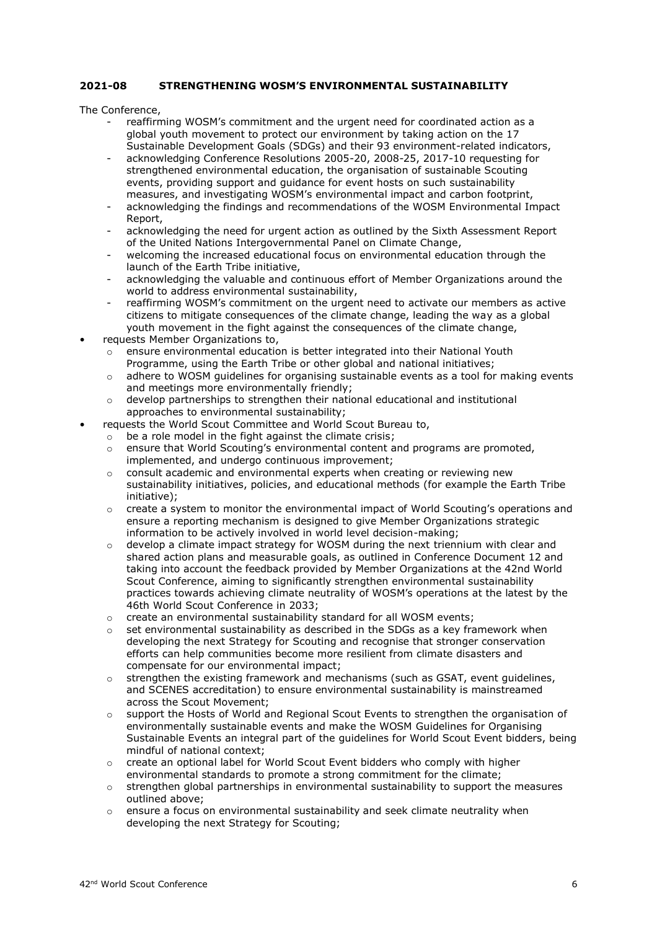#### **2021-08 STRENGTHENING WOSM'S ENVIRONMENTAL SUSTAINABILITY**

- reaffirming WOSM's commitment and the urgent need for coordinated action as a global youth movement to protect our environment by taking action on the 17 Sustainable Development Goals (SDGs) and their 93 environment-related indicators,
- acknowledging Conference Resolutions 2005-20, 2008-25, 2017-10 requesting for strengthened environmental education, the organisation of sustainable Scouting events, providing support and guidance for event hosts on such sustainability measures, and investigating WOSM's environmental impact and carbon footprint,
- acknowledging the findings and recommendations of the WOSM Environmental Impact Report,
- acknowledging the need for urgent action as outlined by the Sixth Assessment Report of the United Nations Intergovernmental Panel on Climate Change,
- welcoming the increased educational focus on environmental education through the launch of the Earth Tribe initiative,
- acknowledging the valuable and continuous effort of Member Organizations around the world to address environmental sustainability,
- reaffirming WOSM's commitment on the urgent need to activate our members as active citizens to mitigate consequences of the climate change, leading the way as a global youth movement in the fight against the consequences of the climate change,
- requests Member Organizations to,
	- o ensure environmental education is better integrated into their National Youth Programme, using the Earth Tribe or other global and national initiatives;
	- o adhere to WOSM guidelines for organising sustainable events as a tool for making events and meetings more environmentally friendly:
	- $\circ$  develop partnerships to strengthen their national educational and institutional approaches to environmental sustainability;
- requests the World Scout Committee and World Scout Bureau to,
	- $\circ$  be a role model in the fight against the climate crisis;
		- $\circ$  ensure that World Scouting's environmental content and programs are promoted, implemented, and undergo continuous improvement;
		- o consult academic and environmental experts when creating or reviewing new sustainability initiatives, policies, and educational methods (for example the Earth Tribe initiative);
		- o create a system to monitor the environmental impact of World Scouting's operations and ensure a reporting mechanism is designed to give Member Organizations strategic information to be actively involved in world level decision-making;
		- $\circ$  develop a climate impact strategy for WOSM during the next triennium with clear and shared action plans and measurable goals, as outlined in Conference Document 12 and taking into account the feedback provided by Member Organizations at the 42nd World Scout Conference, aiming to significantly strengthen environmental sustainability practices towards achieving climate neutrality of WOSM's operations at the latest by the 46th World Scout Conference in 2033;
		- o create an environmental sustainability standard for all WOSM events;
		- set environmental sustainability as described in the SDGs as a key framework when developing the next Strategy for Scouting and recognise that stronger conservation efforts can help communities become more resilient from climate disasters and compensate for our environmental impact;
		- $\circ$  strengthen the existing framework and mechanisms (such as GSAT, event guidelines, and SCENES accreditation) to ensure environmental sustainability is mainstreamed across the Scout Movement;
		- o support the Hosts of World and Regional Scout Events to strengthen the organisation of environmentally sustainable events and make the WOSM Guidelines for Organising Sustainable Events an integral part of the guidelines for World Scout Event bidders, being mindful of national context;
		- $\circ$  create an optional label for World Scout Event bidders who comply with higher environmental standards to promote a strong commitment for the climate;
		- o strengthen global partnerships in environmental sustainability to support the measures outlined above;
		- $\circ$  ensure a focus on environmental sustainability and seek climate neutrality when developing the next Strategy for Scouting;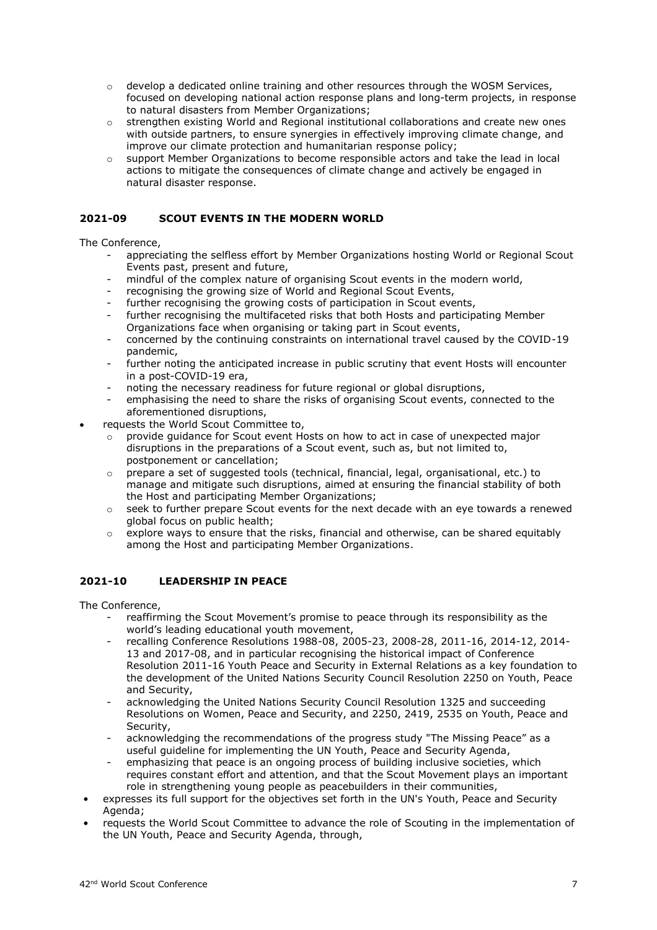- $\circ$  develop a dedicated online training and other resources through the WOSM Services, focused on developing national action response plans and long-term projects, in response to natural disasters from Member Organizations;
- o strengthen existing World and Regional institutional collaborations and create new ones with outside partners, to ensure synergies in effectively improving climate change, and improve our climate protection and humanitarian response policy;
- o support Member Organizations to become responsible actors and take the lead in local actions to mitigate the consequences of climate change and actively be engaged in natural disaster response.

## **2021-09 SCOUT EVENTS IN THE MODERN WORLD**

The Conference,

- appreciating the selfless effort by Member Organizations hosting World or Regional Scout Events past, present and future,
- mindful of the complex nature of organising Scout events in the modern world,
- recognising the growing size of World and Regional Scout Events,
- further recognising the growing costs of participation in Scout events,
- further recognising the multifaceted risks that both Hosts and participating Member Organizations face when organising or taking part in Scout events,
- concerned by the continuing constraints on international travel caused by the COVID-19 pandemic,
- further noting the anticipated increase in public scrutiny that event Hosts will encounter in a post-COVID-19 era,
- noting the necessary readiness for future regional or global disruptions,
- emphasising the need to share the risks of organising Scout events, connected to the aforementioned disruptions,
- requests the World Scout Committee to,
	- provide guidance for Scout event Hosts on how to act in case of unexpected major disruptions in the preparations of a Scout event, such as, but not limited to, postponement or cancellation;
	- o prepare a set of suggested tools (technical, financial, legal, organisational, etc.) to manage and mitigate such disruptions, aimed at ensuring the financial stability of both the Host and participating Member Organizations;
	- $\circ$  seek to further prepare Scout events for the next decade with an eye towards a renewed global focus on public health;
	- $\circ$  explore ways to ensure that the risks, financial and otherwise, can be shared equitably among the Host and participating Member Organizations.

## **2021-10 LEADERSHIP IN PEACE**

- reaffirming the Scout Movement's promise to peace through its responsibility as the world's leading educational youth movement,
- recalling Conference Resolutions 1988-08, 2005-23, 2008-28, 2011-16, 2014-12, 2014- 13 and 2017-08, and in particular recognising the historical impact of Conference Resolution 2011-16 Youth Peace and Security in External Relations as a key foundation to the development of the United Nations Security Council Resolution 2250 on Youth, Peace and Security,
- acknowledging the United Nations Security Council Resolution 1325 and succeeding Resolutions on Women, Peace and Security, and 2250, 2419, 2535 on Youth, Peace and Security,
- acknowledging the recommendations of the progress study "The Missing Peace" as a useful guideline for implementing the UN Youth, Peace and Security Agenda,
- emphasizing that peace is an ongoing process of building inclusive societies, which requires constant effort and attention, and that the Scout Movement plays an important role in strengthening young people as peacebuilders in their communities,
- expresses its full support for the objectives set forth in the UN's Youth, Peace and Security Agenda;
- requests the World Scout Committee to advance the role of Scouting in the implementation of the UN Youth, Peace and Security Agenda, through,